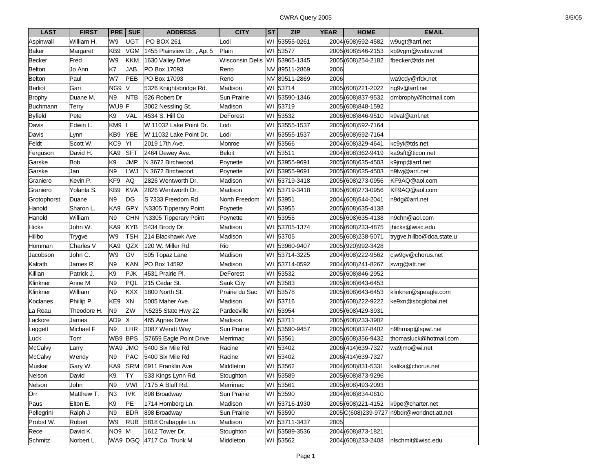| <b>LAST</b>     | <b>FIRST</b> | <b>PRE</b>      | <b>SUF</b> | <b>ADDRESS</b>            | <b>CITY</b>            | <b>ST</b> | <b>ZIP</b>    | <b>YEAR</b> | <b>HOME</b>          | <b>EMAIL</b>              |
|-----------------|--------------|-----------------|------------|---------------------------|------------------------|-----------|---------------|-------------|----------------------|---------------------------|
| Aspinwall       | William H.   | W9              | <b>UGT</b> | PO BOX 261                | Lodi                   | WI        | 53555-0261    |             | 2004 (608) 592-4582  | w9ugt@arrl.net            |
| <b>Baker</b>    | Margaret     | KB9             | <b>VGM</b> | 1455 Plainview Dr., Apt 5 | Plain                  |           | WI 53577      |             | 2005 (608) 546-2153  | kb9vgm@webtv.net          |
| <b>Becker</b>   | Fred         | W9              | <b>KKM</b> | 1630 Valley Drive         | <b>Wisconsin Dells</b> | WI        | 53965-1345    |             | 2005 (608) 254-2182  | fbecker@tds.net           |
| Belton          | Jo Ann       | K7              | <b>JAB</b> | PO Box 17093              | Reno                   |           | NV 89511-2869 | 2006        |                      |                           |
| Belton          | Paul         | W7              | PEB        | PO Box 17093              | Reno                   | NV        | 89511-2869    | 2006        |                      | wa9cdy@rfdx.net           |
| Berliot         | Gari         | NG <sub>9</sub> | V          | 5326 Knightsbridge Rd.    | Madison                | WI        | 53714         |             | 2005 (608) 221-2022  | ng9v@arrl.net             |
| <b>Brophy</b>   | Duane M.     | N <sub>9</sub>  | <b>NTB</b> | 526 Robert Dr             | Sun Prairie            | WI        | 53590-1346    |             | 2005 (608) 837-9532  | dmbrophy@hotmail.com      |
| <b>Buchmann</b> | Terry        | WU9 F           |            | 3002 Nessling St.         | Madison                | WI        | 53719         |             | 2005 (608) 848-1592  |                           |
| <b>Byfield</b>  | Pete         | K <sub>9</sub>  | VAL        | 4534 S. Hill Co           | <b>DeForest</b>        | WI        | 53532         |             | 2006 (608) 846-9510  | k9val@arrl.net            |
| Davis           | Edwin L.     | KM9             |            | W 11032 Lake Point Dr.    | Lodi                   | WI        | 53555-1537    |             | 2005 (608) 592-7164  |                           |
| Davis           | Lynn         | KB9             | <b>YBE</b> | W 11032 Lake Point Dr.    | Lodi                   | WI        | 53555-1537    |             | 2005 (608) 592-7164  |                           |
| Feldt           | Scott W.     | KC <sub>9</sub> | YI         | 2019 17th Ave.            | Monroe                 | WI        | 53566         |             | 2004 (608) 329-4641  | kc9yi@tds.net             |
| Ferguson        | David H.     | KA9             | <b>SFT</b> | 2464 Dewey Ave.           | <b>Beloit</b>          | WI        | 53511         |             | 2004 (608) 362-9419  | ka9sft@ticon.net          |
| Garske          | Bob          | K9              | <b>JMP</b> | N 3672 Birchwood          | Poynette               | WI        | 53955-9691    |             | 2005 (608) 635-4503  | k9jmp@arrl.net            |
| Garske          | Jan          | N <sub>9</sub>  | LWJ        | N 3672 Birchwood          | Poynette               | WI        | 53955-9691    |             | 2005 (608) 635-4503  | n9lwj@arrl.net            |
| Graniero        | Kevin P.     | KF9             | AQ         | 2826 Wentworth Dr.        | Madison                | WI        | 53719-3418    |             | 2005 (608) 273-0956  | KF9AQ@aol.com             |
| Graniero        | Yolanta S.   | KB9             | <b>KVA</b> | 2826 Wentworth Dr.        | Madison                | WI        | 53719-3418    |             | 2005 (608) 273-0956  | KF9AQ@aol.com             |
| Grotophorst     | Duane        | N <sub>9</sub>  | DG         | S 7333 Freedom Rd.        | North Freedom          | WI        | 53951         |             | 2004 (608) 544-2041  | n9dg@arrl.net             |
| Hanold          | Sharon L.    | KA9             | GPY        | N3305 Tipperary Point     | Poynette               | WI        | 53955         |             | 2005 (608) 635-4138  |                           |
| Hanold          | William      | N <sub>9</sub>  | <b>CHN</b> | N3305 Tipperary Point     | Poynette               | WI        | 53955         |             | 2005 (608) 635-4138  | n9chn@aol.com             |
| Hicks           | John W.      | KA9             | <b>KYB</b> | 5434 Brody Dr.            | Madison                | WI        | 53705-1374    |             | 2006 (608) 233-4875  | ihicks@wisc.edu           |
| Hillbo          | Trygve       | W9              | <b>TSH</b> | 214 Blackhawk Ave         | Madison                | WI        | 53705         |             | 2005 (608) 238-5071  | trygve.hillbo@doa.state.u |
| Homman          | Charles V    | KA9             | QZX        | 120 W. Miller Rd.         | Rio                    | WI        | 53960-9407    |             | 2005 (920) 992-3428  |                           |
| Jacobson        | John C.      | W9              | GV         | 505 Topaz Lane            | Madison                |           | WI 53714-3225 |             | 2004 (608) 222-9562  | cjw9gv@chorus.net         |
| Kalrath         | James R.     | N <sub>9</sub>  | KAN        | PO Box 14592              | Madison                | WI        | 53714-0592    |             | 2004 (608) 241-8267  | swrg@att.net              |
| Killian         | Patrick J.   | K <sub>9</sub>  | <b>PJK</b> | 4531 Prairie Pl.          | <b>DeForest</b>        | WI        | 53532         |             | 2005 (608) 846-2952  |                           |
| Klinkner        | Anne M       | N <sub>9</sub>  | PQL        | 215 Cedar St.             | Sauk City              | WI        | 53583         |             | 2005 (608) 643-6453  |                           |
| Klinkner        | William      | N <sub>9</sub>  | <b>KXX</b> | 1800 North St.            | Prairie du Sac         | WI        | 53578         |             | 2005 (608) 643-6453  | klinkner@speagle.com      |
| Koclanes        | Phillip P.   | KE9             | XN         | 5005 Maher Ave.           | Madison                | WI        | 53716         |             | 2005 (608) 222-9222  | ke9xn@sbcglobal.net       |
| La Reau         | Theodore H.  | N <sub>9</sub>  | ZW         | N5235 State Hwy 22        | Pardeeville            | WI        | 53954         |             | 2005 (608) 429-3931  |                           |
| Lackore         | James        | AD9             | X          | 465 Agnes Drive           | Madison                | WI        | 53711         |             | 2005 (608) 233-3902  |                           |
| Leggett         | Michael F    | N <sub>9</sub>  | LHR        | 3087 Wendt Way            | Sun Prairie            | WI        | 53590-9457    |             | 2005 (608) 837-8402  | n9lhrnsp@spwl.net         |
| Luck            | Tom          | WB9 BPS         |            | S7659 Eagle Point Drive   | Merrimac               | WI        | 53561         |             | 2005 (608) 356-9432  | thomasluck@hotmail.com    |
| <b>McCalvy</b>  | Larry        | WA9             | <b>JMO</b> | 5400 Six Mile Rd          | Racine                 | WI        | 53402         |             | 2006 (414) 639-7327  | wa9jmo@wi.net             |
| <b>McCalvy</b>  | Wendy        | N <sub>9</sub>  | PAC        | 5400 Six Mile Rd          | Racine                 | WI        | 53402         |             | 2006 (414) 639-7327  |                           |
| Muskat          | Gary W.      | KA9             | <b>SRM</b> | 6911 Franklin Ave         | Middleton              |           | WI 53562      |             | 2004 (608) 831-5331  | kalika@chorus.net         |
| Nelson          | David        | K9              | <b>TY</b>  | 533 Kings Lynn Rd.        | Stoughton              |           | WI 53589      |             | 2005 (608) 873-9296  |                           |
| Nelson          | John         | N9              | VWI        | 7175 A Bluff Rd.          | Merrimac               |           | WI 53561      |             | 2005 (608) 493-2093  |                           |
| Orr             | Matthew T.   | N <sub>3</sub>  | <b>IVK</b> | 898 Broadway              | Sun Prairie            |           | WI 53590      |             | 2004 (608) 834-0610  |                           |
| Paus            | Elton E.     | K9              | PE         | 1714 Homberg Ln.          | Madison                |           | WI 53716-1930 |             | 2005 (608) 221-4152  | k9pe@charter.net          |
| Pellegrini      | Ralph J      | N9              | <b>BDR</b> | 898 Broadway              | Sun Prairie            |           | WI 53590      |             | 2005 C(608) 239-9727 | n9bdr@worldnet.att.net    |
| Probst W.       | Robert       | W9              | <b>RUB</b> | 5818 Crabapple Ln.        | Madison                |           | WI 53711-3437 | 2005        |                      |                           |
| Rece            | David K.     | NO9 M           |            | 1612 Tower Dr.            | Stoughton              |           | WI 53589-3536 |             | 2004 (608) 873-1821  |                           |
| Schmitz         | Norbert L.   |                 |            | WA9 DGQ 4717 Co. Trunk M  | Middleton              |           | WI 53562      |             | 2004 (608) 233-2408  | nlschmit@wisc.edu         |